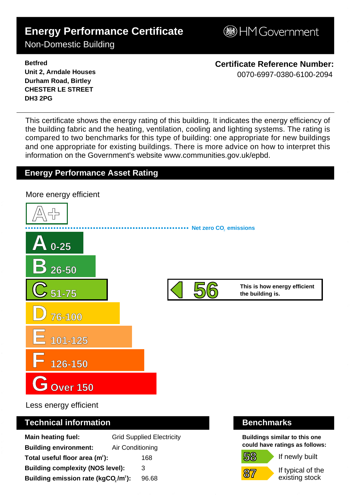# **Energy Performance Certificate**

**BHM Government** 

Non-Domestic Building

**Betfred Unit 2, Arndale Houses Durham Road, Birtley CHESTER LE STREET DH3 2PG**

**Certificate Reference Number:** 0070-6997-0380-6100-2094

This certificate shows the energy rating of this building. It indicates the energy efficiency of the building fabric and the heating, ventilation, cooling and lighting systems. The rating is compared to two benchmarks for this type of building: one appropriate for new buildings and one appropriate for existing buildings. There is more advice on how to interpret this information on the Government's websit[e www.communities.gov.uk/epbd.](http://www.communities.gov.uk/epbd)

## **Energy Performance Asset Rating**



Less energy efficient

### **Technical information Benchmarks**

| <b>Main heating fuel:</b>                       |                  | <b>Grid Supplied Electricity</b> |
|-------------------------------------------------|------------------|----------------------------------|
| <b>Building environment:</b>                    | Air Conditioning |                                  |
| Total useful floor area (m <sup>2</sup> ):      |                  | 168                              |
| <b>Building complexity (NOS level):</b>         |                  | 3                                |
| Building emission rate (kgCO,/m <sup>2</sup> ): |                  | 96.68                            |

**58**

**87**

**Buildings similar to this one could have ratings as follows:**

If newly built

If typical of the existing stock